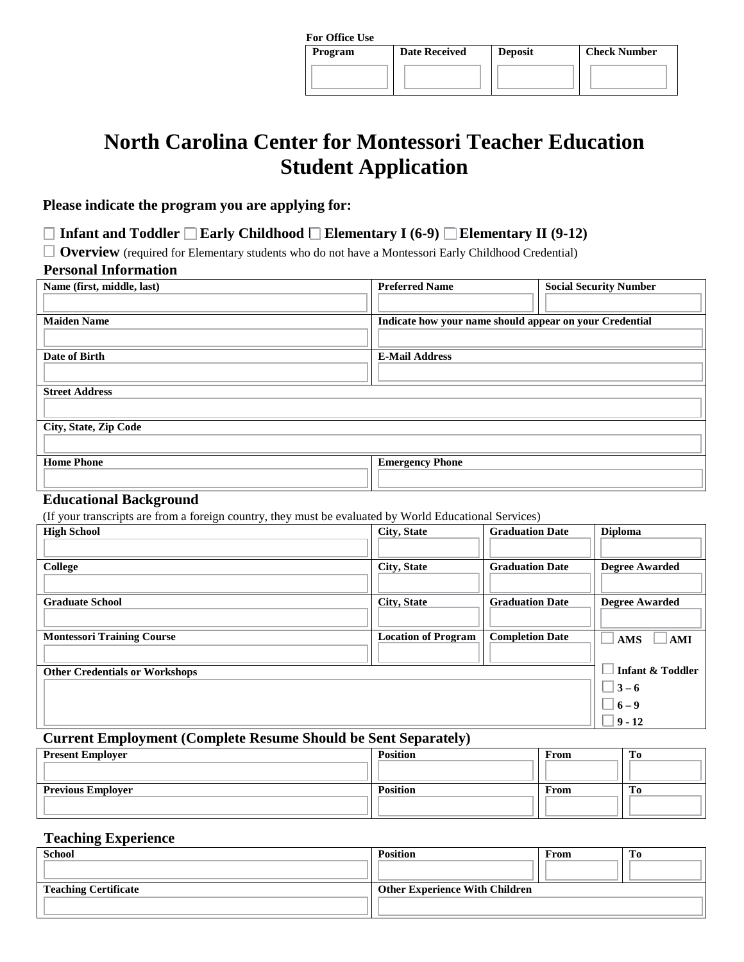| <b>For Office Use</b> |                      |                |                     |
|-----------------------|----------------------|----------------|---------------------|
| Program               | <b>Date Received</b> | <b>Deposit</b> | <b>Check Number</b> |
|                       |                      |                |                     |
|                       |                      |                |                     |
|                       |                      |                |                     |

# **North Carolina Center for Montessori Teacher Education Student Application**

## **Please indicate the program you are applying for:**

**Infant and Toddler Early Childhood Elementary I (6-9) Elementary II (9-12)**

**Overview** (required for Elementary students who do not have a Montessori Early Childhood Credential)

# **Personal Information**

| Name (first, middle, last) | <b>Preferred Name</b><br><b>Social Security Number</b>  |
|----------------------------|---------------------------------------------------------|
| <b>Maiden Name</b>         | Indicate how your name should appear on your Credential |
| Date of Birth              | <b>E-Mail Address</b>                                   |
| <b>Street Address</b>      |                                                         |
| City, State, Zip Code      |                                                         |
| <b>Home Phone</b>          | <b>Emergency Phone</b>                                  |

### **Educational Background**

(If your transcripts are from a foreign country, they must be evaluated by World Educational Services)

| <u>J</u><br>$\circ$<br>J <sup>7</sup> J J<br><b>High School</b> | City, State                | <b>Graduation Date</b> | <b>Diploma</b>              |
|-----------------------------------------------------------------|----------------------------|------------------------|-----------------------------|
| <b>College</b>                                                  | City, State                | <b>Graduation Date</b> | <b>Degree Awarded</b>       |
| <b>Graduate School</b>                                          | <b>City, State</b>         | <b>Graduation Date</b> | <b>Degree Awarded</b>       |
| <b>Montessori Training Course</b>                               | <b>Location of Program</b> | <b>Completion Date</b> | <b>AMS</b><br><b>AMI</b>    |
| <b>Other Credentials or Workshops</b>                           |                            |                        | <b>Infant &amp; Toddler</b> |
|                                                                 |                            |                        | $\Box$ 3 – 6                |
|                                                                 |                            |                        | $\Box$ 6 – 9                |
|                                                                 |                            |                        | $ 9 - 12 $                  |

# **Current Employment (Complete Resume Should be Sent Separately)**

| <b>Present Employer</b>  | <b>Position</b> | From | m<br>10 |
|--------------------------|-----------------|------|---------|
| <b>Previous Employer</b> | <b>Position</b> | From | m<br>TО |
|                          |                 |      |         |

## **Teaching Experience**

| <b>School</b>               | <b>Position</b>                       | From | Tо |
|-----------------------------|---------------------------------------|------|----|
| <b>Teaching Certificate</b> | <b>Other Experience With Children</b> |      |    |